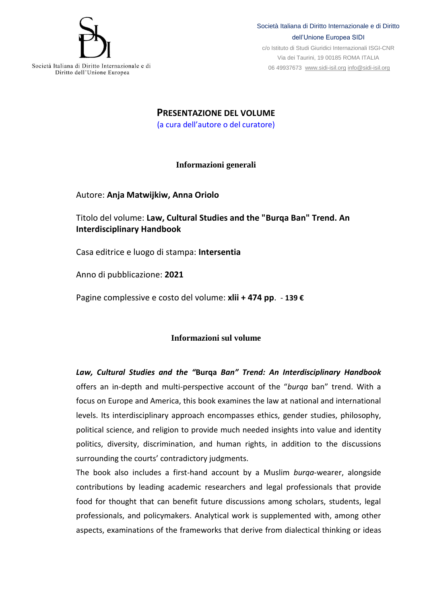

Società Italiana di Diritto Internazionale e di Diritto dell'Unione Europea SIDI

c/o Istituto di Studi Giuridici Internazionali ISGI-CNR Via dei Taurini, 19 00185 ROMA ITALIA 06 49937673 [www.sidi-isil.org](http://www.sidi-isil.org/) [info@sidi-isil.org](mailto:info@sidi-isil.org)

Società Italiana di Diritto Internazionale e di Diritto dell'Unione Europea

> **PRESENTAZIONE DEL VOLUME** (a cura dell'autore o del curatore)

> > **Informazioni generali**

Autore: **Anja [Matwijkiw,](https://intersentia.com/en/author/index/view/id/4083/) [Anna Oriolo](https://intersentia.com/en/author/index/view/id/4113/)**

Titolo del volume: **Law, Cultural Studies and the "Burqa Ban" Trend. An Interdisciplinary Handbook**

Casa editrice e luogo di stampa: **Intersentia**

Anno di pubblicazione: **2021**

Pagine complessive e costo del volume: **xlii + 474 pp**. - **139 €**

## **Informazioni sul volume**

*Law, Cultural Studies and the "***Burqa** *Ban" Trend: An Interdisciplinary Handbook* offers an in-depth and multi-perspective account of the "*burqa* ban" trend. With a focus on Europe and America, this book examines the law at national and international levels. Its interdisciplinary approach encompasses ethics, gender studies, philosophy, political science, and religion to provide much needed insights into value and identity politics, diversity, discrimination, and human rights, in addition to the discussions surrounding the courts' contradictory judgments.

The book also includes a first-hand account by a Muslim *burqa*-wearer, alongside contributions by leading academic researchers and legal professionals that provide food for thought that can benefit future discussions among scholars, students, legal professionals, and policymakers. Analytical work is supplemented with, among other aspects, examinations of the frameworks that derive from dialectical thinking or ideas